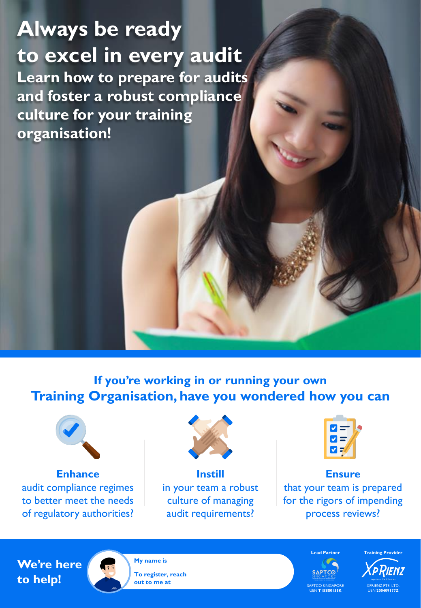## **Always be ready to excel in every audit Learn how to prepare for audits and foster a robust compliance culture for your training organisation!**

**If you're working in or running your own Training Organisation, have you wondered how you can**



**Enhance** audit compliance regimes to better meet the needs of regulatory authorities?



**Instill** in your team a robust culture of managing audit requirements?



**Ensure** that your team is prepared for the rigors of impending process reviews?

## **We're here to help!**



**My name is To register, reach out to me at**

**SAPTCO** SAPTCO SINGAPORE UEN **T15SS0155K**